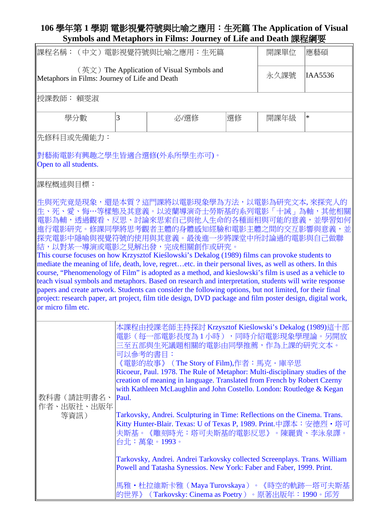## **106** 學年第 **1** 學期 電影視覺符號與比喻之應用:生死篇 **The Application of Visual Symbols and Metaphors in Films: Journey of Life and Death** 課程綱要

| 課程名稱:<br>(中文)電影視覺符號與比喻之應用:生死篇                                                                              | 開課單位                                                                                                                                                                                                                                                                                                                                                                                                                                                                                                                                                                                                                                                                                                                                                                                                                                                                                   | 應藝碩                                                                                                                                                                                                                                                                                                                                                                                                                                                                                                                                                                                                                                                                                                                                                                                                                                                                                                                          |    |      |        |
|------------------------------------------------------------------------------------------------------------|----------------------------------------------------------------------------------------------------------------------------------------------------------------------------------------------------------------------------------------------------------------------------------------------------------------------------------------------------------------------------------------------------------------------------------------------------------------------------------------------------------------------------------------------------------------------------------------------------------------------------------------------------------------------------------------------------------------------------------------------------------------------------------------------------------------------------------------------------------------------------------------|------------------------------------------------------------------------------------------------------------------------------------------------------------------------------------------------------------------------------------------------------------------------------------------------------------------------------------------------------------------------------------------------------------------------------------------------------------------------------------------------------------------------------------------------------------------------------------------------------------------------------------------------------------------------------------------------------------------------------------------------------------------------------------------------------------------------------------------------------------------------------------------------------------------------------|----|------|--------|
| $(\nexists \Sigma)$ The Application of Visual Symbols and<br>Metaphors in Films: Journey of Life and Death | 永久課號                                                                                                                                                                                                                                                                                                                                                                                                                                                                                                                                                                                                                                                                                                                                                                                                                                                                                   | IAA5536                                                                                                                                                                                                                                                                                                                                                                                                                                                                                                                                                                                                                                                                                                                                                                                                                                                                                                                      |    |      |        |
| 授課教師: 賴雯淑                                                                                                  |                                                                                                                                                                                                                                                                                                                                                                                                                                                                                                                                                                                                                                                                                                                                                                                                                                                                                        |                                                                                                                                                                                                                                                                                                                                                                                                                                                                                                                                                                                                                                                                                                                                                                                                                                                                                                                              |    |      |        |
| 學分數                                                                                                        | 3                                                                                                                                                                                                                                                                                                                                                                                                                                                                                                                                                                                                                                                                                                                                                                                                                                                                                      | 必選修                                                                                                                                                                                                                                                                                                                                                                                                                                                                                                                                                                                                                                                                                                                                                                                                                                                                                                                          | 選修 | 開課年級 | $\ast$ |
| 先修科目或先備能力:                                                                                                 |                                                                                                                                                                                                                                                                                                                                                                                                                                                                                                                                                                                                                                                                                                                                                                                                                                                                                        |                                                                                                                                                                                                                                                                                                                                                                                                                                                                                                                                                                                                                                                                                                                                                                                                                                                                                                                              |    |      |        |
| 對藝術電影有興趣之學生皆適合選修(外系所學生亦可)。<br>Open to all students.                                                        |                                                                                                                                                                                                                                                                                                                                                                                                                                                                                                                                                                                                                                                                                                                                                                                                                                                                                        |                                                                                                                                                                                                                                                                                                                                                                                                                                                                                                                                                                                                                                                                                                                                                                                                                                                                                                                              |    |      |        |
| 課程概述與目標:                                                                                                   |                                                                                                                                                                                                                                                                                                                                                                                                                                                                                                                                                                                                                                                                                                                                                                                                                                                                                        |                                                                                                                                                                                                                                                                                                                                                                                                                                                                                                                                                                                                                                                                                                                                                                                                                                                                                                                              |    |      |        |
| or micro film etc.                                                                                         |                                                                                                                                                                                                                                                                                                                                                                                                                                                                                                                                                                                                                                                                                                                                                                                                                                                                                        | 生與死究竟是現象,還是本質?這門課將以電影現象學為方法,以電影為研究文本,來探究人的 <br>生、死、愛、悔…等樣態及其意義。以波蘭導演奇士勞斯基的系列電影「十誡」為軸,其他相關<br>電影為輔,透過觀看、反思、討論來思索自己與他人生命的各種面相與可能的意義,並學習如何<br>進行電影研究。修課同學將思考觀者主體的身體感知經驗和電影主體之間的交互影響與意義,並<br>探究電影中隱喻與視覺符號的使用與其意義。最後進一步將課堂中所討論過的電影與自己做聯<br>結,以對某一導演或電影之見解出發,完成相關創作或研究。<br>This course focuses on how Krzysztof Kieślowski's Dekalog (1989) films can provoke students to<br>mediate the meaning of life, death, love, regretetc. in their personal lives, as well as others. In this<br>course, "Phenomenology of Film" is adopted as a method, and kieslowski's film is used as a vehicle to<br>teach visual symbols and metaphors. Based on research and interpretation, students will write response<br>papers and create artwork. Students can consider the following options, but not limited, for their final<br>project: research paper, art project, film title design, DVD package and film poster design, digital work, |    |      |        |
| 教科書(請註明書名、<br>作者、出版社、出版年<br>等資訊)                                                                           | 本課程由授課老師主持探討 Krzysztof Kieślowski's Dekalog (1989)這十部<br>電影(每一部電影長度為1小時),同時介紹電影現象學理論。另開放<br>三至五部與生死議題相關的電影由同學推薦,作為上課的研究文本。<br>可以參考的書目:<br>《電影的故事》(The Story of Film),作者:馬克・庫辛思<br>Ricoeur, Paul. 1978. The Rule of Metaphor: Multi-disciplinary studies of the<br>creation of meaning in language. Translated from French by Robert Czerny<br>with Kathleen McLaughlin and John Costello. London: Routledge & Kegan<br>Paul.<br>Tarkovsky, Andrei. Sculpturing in Time: Reflections on the Cinema. Trans.<br>Kitty Hunter-Blair. Texas: U of Texas P, 1989. Print.中譯本:安德烈 · 塔可<br>夫斯基。《雕刻時光:塔可夫斯基的電影反思》。陳麗貴、李泳泉譯。<br>台北:萬象。1993。<br>Tarkovsky, Andrei. Andrei Tarkovsky collected Screenplays. Trans. William<br>Powell and Tatasha Synessios. New York: Faber and Faber, 1999. Print.<br>馬雅・杜拉維斯卡雅(Maya Turovskaya)。《時空的軌跡―塔可夫斯基<br>的世界》 (Tarkovsky: Cinema as Poetry) 。原著出版年:1990。邱芳 |                                                                                                                                                                                                                                                                                                                                                                                                                                                                                                                                                                                                                                                                                                                                                                                                                                                                                                                              |    |      |        |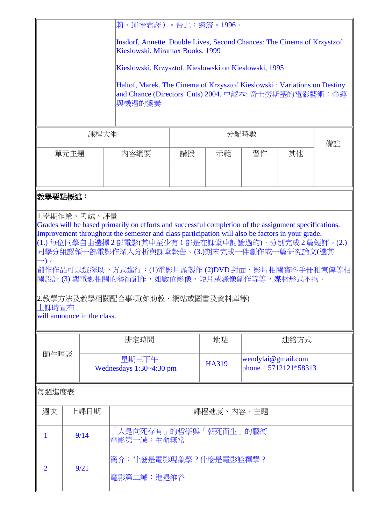|                                                                                                                                                                                                                                                                                                                                                                                                                                                                                                             | 莉、邱怡君譯)。台北:遠流。1996。 |                                                       |                                                                                                                                               |                                     |                                            |          |  |  |  |
|-------------------------------------------------------------------------------------------------------------------------------------------------------------------------------------------------------------------------------------------------------------------------------------------------------------------------------------------------------------------------------------------------------------------------------------------------------------------------------------------------------------|---------------------|-------------------------------------------------------|-----------------------------------------------------------------------------------------------------------------------------------------------|-------------------------------------|--------------------------------------------|----------|--|--|--|
|                                                                                                                                                                                                                                                                                                                                                                                                                                                                                                             |                     |                                                       | Insdorf, Annette. Double Lives, Second Chances: The Cinema of Krzystzof<br>Kieslowski. Miramax Books, 1999                                    |                                     |                                            |          |  |  |  |
|                                                                                                                                                                                                                                                                                                                                                                                                                                                                                                             |                     | Kieslowski, Krzysztof. Kieslowski on Kieslowski, 1995 |                                                                                                                                               |                                     |                                            |          |  |  |  |
|                                                                                                                                                                                                                                                                                                                                                                                                                                                                                                             |                     |                                                       | Haltof, Marek. The Cinema of Krzysztof Kieslowski : Variations on Destiny<br>and Chance (Directors' Cuts) 2004. 中譯本: 奇士勞斯基的電影藝術: 命運<br>與機遇的變奏 |                                     |                                            |          |  |  |  |
| 課程大綱                                                                                                                                                                                                                                                                                                                                                                                                                                                                                                        |                     |                                                       |                                                                                                                                               | 備註                                  |                                            |          |  |  |  |
|                                                                                                                                                                                                                                                                                                                                                                                                                                                                                                             | 單元主題                |                                                       | 內容綱要                                                                                                                                          | 講授                                  | 示範                                         | 習作<br>其他 |  |  |  |
|                                                                                                                                                                                                                                                                                                                                                                                                                                                                                                             |                     |                                                       |                                                                                                                                               |                                     |                                            |          |  |  |  |
|                                                                                                                                                                                                                                                                                                                                                                                                                                                                                                             | 教學要點概述:             |                                                       |                                                                                                                                               |                                     |                                            |          |  |  |  |
| Grades will be based primarily on efforts and successful completion of the assignment specifications.<br>Improvement throughout the semester and class participation will also be factors in your grade.<br> (1.) 每位同學自由選擇 2 部電影(其中至少有 1 部是在課堂中討論過的),分別完成 2 篇短評。(2.)<br>同學分組認領一部電影作深入分析與課堂報告。(3.)期末完成一件創作或一篇研究論文(選其<br>→) 。<br>創作作品可以選擇以下方式進行:(1)電影片頭製作 (2)DVD 封面、影片相關資料手冊和宣傳等相<br>關設計 (3) 與電影相關的藝術創作,如數位影像、短片或錄像創作等等,媒材形式不拘。<br>  2.教學方法及教學相關配合事項(如助教、網站或圖書及資料庫等) <br>上課時宣布<br>will announce in the class. |                     |                                                       |                                                                                                                                               |                                     |                                            |          |  |  |  |
|                                                                                                                                                                                                                                                                                                                                                                                                                                                                                                             |                     | 排定時間                                                  |                                                                                                                                               | 地點                                  | 連絡方式                                       |          |  |  |  |
| 師生晤談                                                                                                                                                                                                                                                                                                                                                                                                                                                                                                        |                     | 星期三下午<br>Wednesdays $1:30 \sim 4:30$ pm               |                                                                                                                                               | <b>HA319</b>                        | wendylai@gmail.com<br>phone: 5712121*58313 |          |  |  |  |
| 每週進度表                                                                                                                                                                                                                                                                                                                                                                                                                                                                                                       |                     |                                                       |                                                                                                                                               |                                     |                                            |          |  |  |  |
| 週次                                                                                                                                                                                                                                                                                                                                                                                                                                                                                                          |                     | 上課日期                                                  | 課程進度、內容、主題                                                                                                                                    |                                     |                                            |          |  |  |  |
| $\mathbf{1}$                                                                                                                                                                                                                                                                                                                                                                                                                                                                                                | 9/14                |                                                       |                                                                                                                                               | 「人是向死存有」的哲學與「朝死而生」的藝術<br>電影第一誡:生命無常 |                                            |          |  |  |  |
| $\overline{2}$                                                                                                                                                                                                                                                                                                                                                                                                                                                                                              | 9/21                |                                                       | 簡介:什麼是電影現象學?什麼是電影詮釋學?<br>電影第二誡:進退維谷                                                                                                           |                                     |                                            |          |  |  |  |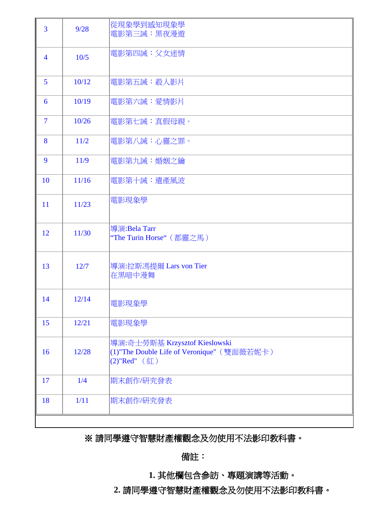| 3              | 9/28  | 從現象學到感知現象學<br>電影第三誡:黑夜漫遊                                                                             |
|----------------|-------|------------------------------------------------------------------------------------------------------|
| $\overline{4}$ | 10/5  | 電影第四誡:父女迷情                                                                                           |
| 5              | 10/12 | 電影第五誡:殺人影片                                                                                           |
| 6              | 10/19 | 電影第六誡:愛情影片                                                                                           |
| $\overline{7}$ | 10/26 | 電影第七誡:真假母親。                                                                                          |
| 8              | 11/2  | 電影第八誡:心靈之罪。                                                                                          |
| 9              | 11/9  | 電影第九誡:婚姻之鑰                                                                                           |
| 10             | 11/16 | 電影第十誡: 遺產風波                                                                                          |
| 11             | 11/23 | 電影現象學                                                                                                |
| 12             | 11/30 | 導演: Bela Tarr<br>"The Turin Horse" (都靈之馬)                                                            |
| 13             | 12/7  | 導演:拉斯馮提爾 Lars von Tier<br>在黑暗中漫舞                                                                     |
| 14             | 12/14 | 電影現象學                                                                                                |
| 15             | 12/21 | 電影現象學                                                                                                |
| 16             | 12/28 | 導演:奇士勞斯基 Krzysztof Kieslowski<br>(1)"The Double Life of Veronique" (雙面薇若妮卡)<br>$(2)$ "Red" $($ 紅 $)$ |
| 17             | 1/4   | 期末創作/研究發表                                                                                            |
| 18             | 1/11  | 期末創作/研究發表                                                                                            |
|                |       |                                                                                                      |

## ※ 請同學遵守智慧財產權觀念及勿使用不法影印教科書。

備註:

**1.** 其他欄包含參訪、專題演講等活動。

**2.** 請同學遵守智慧財產權觀念及勿使用不法影印教科書。